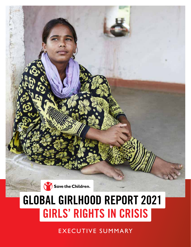

# **GLOBAL GIRLHOOD REPORT 2021 GIRLS' RIGHTS IN CRISIS**

EXECUTIVE SUMMARY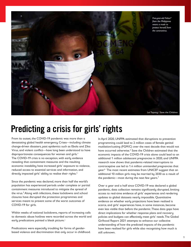

### **Predicting a crisis for girls' rights**

From its outset, the COVID-19 pandemic was more than a devastating global health emergency. Crises—including climate change-driven disasters, past epidemics such as Ebola and Zika Virus, and violent conflict—have long been understood to have disproportionate consequences for women and girls.<sup>1</sup> The COVID-19 crisis is no exception, with early evidence revealing that containment measures and the resulting economic instability have increased girls' exposure to violence, reduced access to essential services and information, and directly impacted girls' ability to realise their rights.<sup>2</sup>

Since the pandemic was declared, more than half the world's population has experienced periods under complete or partial containment measures introduced to mitigate the spread of the virus.<sup>3</sup> Along with infections, these lockdowns and school closures have disrupted the protection programmes and services meant to prevent some of the worst outcomes of COVID-19 for girls.

Within weeks of national lockdowns, reports of increasing calls to domestic abuse hotlines were recorded across the world and early predications painted a bleak picture.<sup>4</sup>

Predications were especially troubling for forms of genderbased violence and discrimination that only occur in childhood. In April 2020, UNFPA estimated that disruptions to prevention programming could lead to 2 million cases of female genital mutilation/cutting (FGM/C) over the next decade that would not have occurred otherwise.<sup>5</sup> Save the Children estimated that the economic impacts of the COVID-19 crisis alone could lead to an additional 1 million adolescent pregnancies in 2020, and UNFPA research now shows that pandemic-related interruptions to contraceptive use led to 1.4 million unintended pregnancies that year.6 The most recent estimates from UNICEF suggest that an additional 10 million girls may be married by 2030 as a result of the pandemic—most during the next few years.<sup>7</sup>

Over a year and a half since COVID-19 was declared a global pandemic, data collection remains significantly disrupted, limiting access to real-time evidence of girls' experiences and rendering updates to global datasets nearly impossible. Quantitative evidence on whether early projections have been realised is scarce, and girls' experiences have, in some instances, become even less visible than before the pandemic. These data gaps have direct implications for whether response plans and recovery policies and budgets can effectively meet girls' needs. The Global Girlhood Report 2021 attempts to enhance our collective understanding of how the predicted impacts of the pandemic have been realised for girls while also recognising how much is still unknown.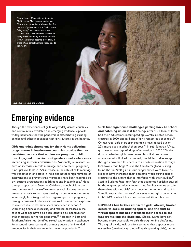

## **Emerging evidence**

Though the experiences of girls vary widely across countries and communities, available and emerging evidence supports widely held fears that the pandemic is exacerbating existing gender and other inequalities with girls' futures in the balance.

**Girls and adult champions for their rights delivering programmes in low-income countries provide the most consistent reports that adolescent pregnancy, child marriage, and other forms of gender-based violence are increasing in their communities.** Nationally representative data on increases in child marriage and adolescent pregnancy is not yet available. A 27% increase in the rate of child marriage was reported in one state in India and notably high numbers of interventions to prevent child marriages have been reported by civil society organisations in Ethiopia and Mozambique.<sup>8</sup> Most changes reported to Save the Children through girls in our programmes and our staff relate to school closures increasing pressure on girls to marry as getting a good education seems increasingly less likely, and due to growing risk of pregnancy through consensual relationships as well as increased exposure to violence due to less time spent supervised in school.<sup>9</sup> Worsening financial insecurity and related decreases in the cost of weddings have also been identified as incentives for child marriage during the pandemic.<sup>10</sup> Research in East and Southern Africa has identified sexual exploitation in exchange for essential resources as the primary cause of unintended pregnancies in their communities since the pandemic.<sup>11</sup>

**Girls face significant challenges getting back to school and catching up on lost learning.** Over 1.6 billion children had their educations interrupted by COVID-related school closures in 2020 and millions of girls remain out of school.<sup>12</sup> On average, girls in poorer countries have missed out on 22% more days in school than boys.<sup>13</sup> In sub-Saharan Africa, girls lost an average 69 days of education in 2020.<sup>14</sup> While data on whether girls have proven less likely to return to school remains limited and mixed,<sup>15</sup> multiple studies suggest that girls have had less access to remote education through lockdowns than boys.16 Save the Children's global survey found that in 2020, girls in our programmes were twice as likely to have increased their domestic work during school closures to the extent that it interfered with their studies.17 Staff in Burkina Faso now fear that economic hardship caused by the ongoing pandemic means that families cannot sustain themselves without girls' assistance in the home, and staff in Somalia report that parents' concerns about girls contracting COVID-19 in school have created an additional barrier.

**COVID-19 has further restricted girls' already limited access to decision-making spaces, and the shift to virtual spaces has not increased their access to the leaders making the decisions.** Global events have not become more accessible to girls through online platforms. The digital divide, lack of effort to make these spaces more accessible (particularly to non-English speaking girls), and a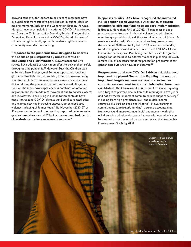growing tendency for leaders to pre-record messages have excluded girls from effective participation in critical decisionmaking moments, including the Generation Equality Forums. No girls have been included in national COVID-19 taskforces and Save the Children staff in Somalia, Burkina Faso, and the Dominican Republic report that COVID-related closures of schools and girl-friendly spaces have denied girls access to community-level decision-making.

**Responses to the pandemic have struggled to address the needs of girls impacted by multiple forms of inequality and discrimination.** Governments and civil society have adapted services in an effort to deliver them safely throughout the pandemic.<sup>18</sup> However, Save the Children staff in Burkina Faso, Ethiopia, and Somalia report that reaching girls with disabilities and those living in rural areas—already too often excluded from essential services—was made more difficult during the pandemic and at times ceased altogether. Girls on the move have experienced a combination of forced migration and lost freedom of movement due to border closures and lockdowns. Those living in humanitarian contexts have faced intersecting COVID-, climate-, and conflict-related crises, and reports describe increasing exposure to gender-based violence, including child marriage.19 By November 2020, 27 of 32 operations in humanitarian settings reported an increase in gender-based violence and 89% of responses described the risk of gender-based violence as severe or extreme.<sup>20</sup>

**Responses to COVID-19 have recognised the increased risk of gender-based violence, but evidence of specific attention to girls and funding to support implementation is limited.** More than 70% of COVID-19 responses include measures to address gender-based violence, but with limited age-disaggregated data it is difficult to tell whether girls' specific needs are addressed.<sup>21</sup> Consistent civil society pressure over the course of 2020 eventually led to 97% of requested funding to address gender-based violence under the COVID-19 Global Humanitarian Response Plan being met. Yet despite far greater recognition of the need to address violence in planning for 2021, a mere 11% of necessary funds for protection programmes for gender-based violence have been received.22

**Postponement and new COVID-19 driven priorities have impacted the pivotal Generation Equality process, but important targets and new architecture for further commitments and multisectoral collaboration have been established.** The Global Acceleration Plan for Gender Equality set a target to prevent nine million child marriages in five years and has attracted important commitments to support delivery,<sup>23</sup> including from high-prevalence low- and middle-income countries like Burkina Faso and Nigeria.<sup>24</sup> However, further commitments (particularly funding), a strong accountability framework, and improved, meaningful engagement with girls will determine whether the worst impacts of the pandemic can be averted to put the world on track to deliver the Sustainable Development Goals by 2030.

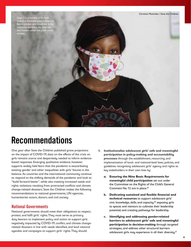

### **Recommendations**

One year after Save the Children published grave projections on the impact of COVID-19, data on the effects of the crisis on girls remains scarce and desperately needed to inform evidencebased responses. Emerging qualitative evidence, however, supports widely held fears that the pandemic is exacerbating existing gender and other inequalities with girls' futures in the balance. As countries and the international community continue to respond to the shifting demands of the pandemic and look to "build forward better", while also meeting increased needs and rights violations resulting from protracted conflicts and climate change-related disasters, Save the Children makes the following recommendations to national governments, UN agencies, humanitarian actors, donors, and civil society.

#### **National Governments**

National governments should meet their obligations to respect, protect, and fulfil girls' rights. They must serve as primary duty bearers to implement policy and action to support girls negatively impacted by COVID-19, conflict, and climate changerelated disasters in line with needs identified, and lead national agendas and campaigns to support girls' rights. They should:

- **1. Institutionalise adolescent girls' safe and meaningful participation in policy-making and accountability processes** through the establishment, resourcing, and implementation of local- and national-level laws, policies, and guidelines recognising adolescent girls' agency and rights as key stakeholders in their own lives by:
	- **a. Ensuring the Nine Basic Requirements for meaningful child participation** set out under the Committee on the Rights of the Child's General Comment No 12 are in place.<sup>25</sup>
	- **b. Dedicating sustained and flexible financial and technical resources** to support adolescent girls' civic knowledge, skills, and capacity;<sup>26</sup> exposing girls to spaces and mentors to cultivate their leadership potential; and creating pathways for leadership.
	- **c. Identifying and addressing gender-related barriers to adolescent girls' safe and meaningful participation in decision-making** through targeted strategies, and address other structural barriers adolescent girls may experience in all their diversity.<sup>27</sup>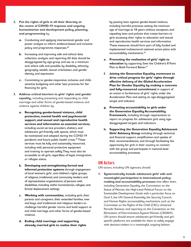- **2. Put the rights of girls in all their diversity at the centre of COVID-19 response and ongoing humanitarian and development policy, planning, and programming** by:
	- **a.** Conducting and applying intersectional gender and power analysis to inform evidence-based and inclusive policy and programme responses.<sup>28</sup>
	- **b.** Increasing and improving safe and ethical data collection, analysis, and reporting. All data should be disaggregated by age-group and sex at a minimum and, where safe and possible, by disability, ethnicity, geography, wealth, sexual orientation, and gender identity and expression.
	- **c.** Committing to gender-responsive, inclusive, and childsensitive budgeting and other best practices for fair financing for girls.
- **3. Address critical barriers to girls' rights and gender equality,** including preventing and responding to child marriage and other forms of gender-based violence and violence against children by:
	- **a. Recognising gender-based violence, child protection, mental health and psychosocial support, and sexual and reproductive health services and information as essential services,**  including social service providers, shelters, and adolescent girl-friendly safe spaces, which must be maintained and adapted during the COVID-19 pandemic and future public health crises.<sup>29</sup> These services must be fully and sustainably resourced, including with personal protective equipment and training to operate safely. They must also be accessible to all girls, regardless of legal, immigration, or refugee status.
	- **b. Developing and strengthening formal and informal protection systems** through engagement of local women's, girls', and children's rights groups; of religious, traditional, and community leaders; and of representative organisations of persons with disabilities; including within humanitarian, refugee, and forced displacement settings.
	- **c. Working with communities,** including girls, their parents and caregivers, their extended families, men and boys, and traditional and religious leaders to challenge harmful gender norms and build support to end child marriage and other forms of gender-based violence.
	- **d. Ending child marriage and supporting already married girls to realise their rights**

by passing laws against gender-based violence, including harmful practices; setting the minimum age of marriage at 18 years without exception; and repealing laws and policies that create barriers to girls accessing their rights to education and sexual and reproductive health services and information. These measures should form part of fully funded and implemented multisectoral national action plans with accountability mechanisms.30

- **e. Promoting the realisation of girls' right to education** by supporting Save the Children's 8 Point Plan to Build Forward Better.<sup>31</sup>
- **f. Joining the Generation Equality movement to drive critical progress for girls' rights through effective delivery of the Global Acceleration Plan for Gender Equality by making a concrete and fully-resourced commitment** in support of an action in furtherance of girls' rights under the Acceleration Plan and setting an age-disaggregated target and indicator.
- **g. Promoting accountability to girls under the Generation Equality Accountability Framework,** including through requirements to report on progress for adolescent girls using agedisaggregated targets and indicators.
- **h. Supporting the Generation Equality Adolescent Girls' Advisory Group** including through technical and financial support, amplification and uptake of their recommendations, and through facilitating the opportunity for girls in their country to connect with the group and participate in national-level accountability processes.

#### **UN Actors**

UN actors, including UN agencies, should:

**1. Systematically include adolescent girls' safe and meaningful participation in international policymaking and accountability processes** that affect them, including Generation Equality, the Commission on the Status of Women, the High-Level Political Forum on the Sustainable Development Goals with a particular focus on Goal 5, the UN General Assembly, the Security Council, and Human Rights accountability mechanisms such as the Committee on the Rights of the Child (CRC), Universal Periodic Reviews, and reporting on the Convention on the Elimination of Discrimination Against Women (CEDAW). UN actors should ensure adolescent girl-friendly and girlspecific platforms are available for them to safely engage with decision-makers in a meaningful, ongoing fashion.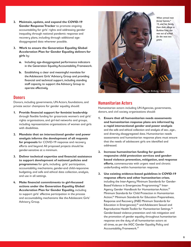- **2. Maintain, update, and expand the COVID-19 Gender Response Tracker** to promote ongoing accountability for girls' rights and addressing gender inequality through national pandemic response and recovery plans, including through additional agedisaggregated data wherever possible.
- **3. Work to ensure the Generation Equality Global Acceleration Plan for Gender Equality delivers for girls** by:
	- **a.** Including age-disaggregated performance indicators in the Generation Equality Accountability Framework.
	- **b.** Establishing a clear and meaningful mandate for the Adolescent Girls' Advisory Group and providing financial and technical support, including standing staff capacity to support the Advisory Group to operate effectively.

#### **Donors**

Donors, including governments, UN Actors, foundations, and private sector champions for gender equality should:

- **1. Provide financial support for feminist leadership** through flexible funding for grassroots women's and girls' rights organisations, and girl-led networks and groups, including representative organisations of women and girls with disabilities.
- **2. Mandate that an intersectional gender and power analysis informs the development of all requests for proposals** for COVID-19 response and recovery efforts and beyond. All proposed projects should be gender-sensitive at a minimum.
- **3. Deliver technical expertise and financial assistance to support development of national policies and programmes** for girls, including girls' participation, accountability mechanisms, gender-and child-responsive budgeting, and safe and ethical data collection, analysis, and use in all settings.
- **4. Make financial commitments to girl-focussed actions under the Generation Equality Global Acceleration Plan for Gender Equality**, including to support girls' effective participation in the process and accountability mechanisms like the Adolescent Girls' Advisory Group.



#### **Humanitarian Actors**

Humanitarian actors including UN Agencies, governments, donors, and civil society organisations should:

- **1. Ensure that all humanitarian needs assessments and humanitarian response plans are informed by a rapid intersectional gender and power analysis** and the safe and ethical collection and analysis of sex-, age-, and diversity-disaggregated data. Humanitarian needs assessments and humanitarian response plans must ensure that the needs of adolescent girls are identified and addressed.
- **2. Increase humanitarian funding for genderresponsive child protection services and genderbased violence prevention, mitigation, and response efforts**, commensurate with urgent need and chronic underfunding within humanitarian response.
- **3. Use existing evidence-based guidelines in COVID-19 response efforts and other humanitarian crises**, including the Inter-Agency Minimum Standards for Gender-Based Violence in Emergencies Programming;<sup>32</sup> Inter-Agency Gender Handbook for Humanitarian Action;<sup>33</sup> Minimum Standards for Child Protection in Humanitarian Action;<sup>34</sup> Minimum Standards for Education Preparedness, Response and Recovery (INEE Minimum Standards for Education in Emergencies);<sup>35</sup> and Adolescent Sexual and Reproductive Health Toolkit for Humanitarian Settings.<sup>36</sup> Gender-based violence prevention and risk mitigation and the promotion of gender equality throughout humanitarian response are the duty of all humanitarian actors at all times, as per the IASC Gender Equality Policy and Accountability Framework.37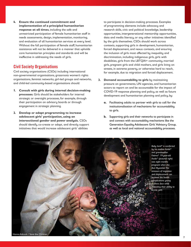**4. Ensure the continued commitment and implementation of a principled humanitarian response at all times**, including the safe and unrestricted participation of female humanitarian staff in needs assessments, design, implementation, monitoring, and evaluation of all humanitarian services at every level. Without the full participation of female staff, humanitarian assistance will not be delivered in a manner that upholds core humanitarian principles and standards and will be ineffective in addressing the needs of girls.

#### **Civil Society Organisations**

Civil society organisations (CSOs) including international non-governmental organisations, grassroots women's rights organisations, feminist networks, girl-led groups and networks, and child-led community-based organisations should:

- **1. Consult with girls during internal decision-making processes**. Girls should be stakeholders for internal strategic or oversight processes, for example, through their participation on advisory boards or through engagement in strategic planning.
- **2. Develop or adapt programming to increase adolescent girls' participation, using an intersectional gender and power analysis.** CSOs should identify, co-create or adapt, and directly support initiatives that would increase adolescent girls' abilities

to participate in decision-making processes. Examples of programming elements include advocacy and research skills, civic and political knowledge, leadership opportunities, intergenerational mentorship opportunities, data and media literacy, or any other initiatives identified by the girls themselves. CSOs should work across contexts, supporting girls in development, humanitarian, forced displacement, and nexus contexts, and ensuring the inclusion of girls most affected by inequality and discrimination, including indigenous girls, girls with disabilities, girls from the LBTQIA+ community, married girls, pregnant girls and child mothers, and girls living on streets, in extreme poverty, or otherwise hard to reach, for example, due to migration and forced displacement.

- **3. Demand accountability to girls** by maintaining pressure on governments, UN agencies, and humanitarian actors to report on and be accountable for the impact of COVID-19 response planning and policy, as well as future development and humanitarian planning and policy, by:
	- **a.** Facilitating adults to partner with girls to call for the institutionalisation of mechanisms for accountability to girls.
	- **b.** Supporting girls and their networks to participate in and connect with accountability mechanisms like the Generation Equality Adolescent Girls' Advisory Group, as well as local and national accountability processes.

*Baby Ismil\* is comforted by his mother Azida\* and grandmother Fatima\*. 19-year-old Azida\* (pictured right) was eight months pregnant when she fled Myanmar. The stressors of migration and displacement can increase the health complications young mothers face while impacting their ability to access care.* Hanna Adcock / Save the Children